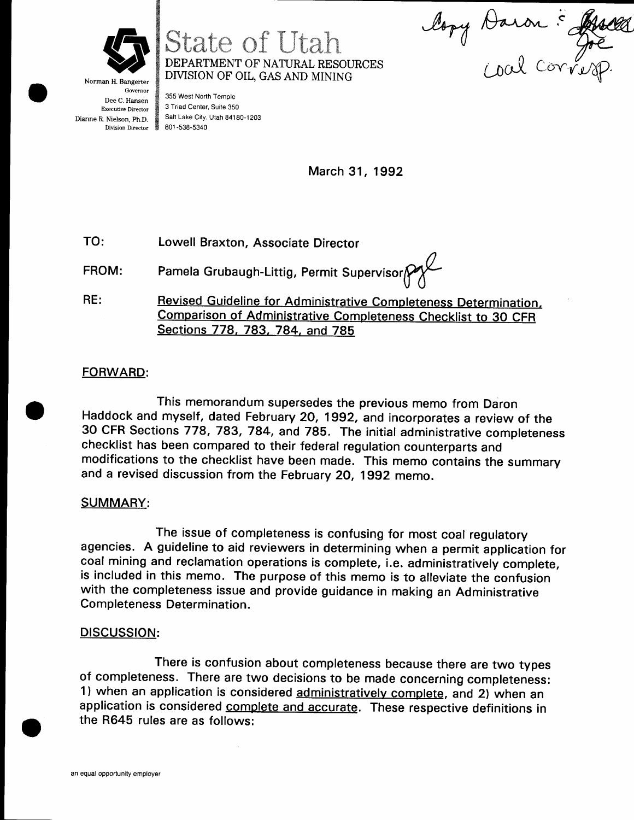

State of Utah DEPARTMENT OF NATURAL RESOURCES DIVISION OF OIL, GAS AND MINING

lopy Daron : Ruell toal corresp

Norman H. Bangerter **Governor** Dee C. Hansen Executive Director Dianne R. Nielson, Ph.D. Division Director

355 West North Temple 3 Triad Center, Suite 350 Salt Lake City, Utah 84180-1203 801 -538-5340

March 31, 1992

TO: Lowell Braxton, Associate Director

FROM: Pamela Grubaugh-Littig, Permit Supervisor $\gamma$ 

 $RE:$ Revised Guideline for Administrative Completeness Determination. Comparison of Administrative Completeness Checklist to 3O CFR Sections 778, 783, 784, and 785

## **FORWARD:**

This memorandum supersedes the previous memo from Daron Haddock and myself, dated February 20, 1992, and incorporates a review of the 30 CFR Sections 778, 783, 784, and 785. The initial administrative completeness checklist has been compared to their federal regulation counterparts and modifications to the checklist have been made. This memo contains the summary and a revised discussion from the February 2O, 1gg2 memo.

## SUMMARY:

The issue of completeness is confusing for most coal regulatory agencies. A guideline to aid reviewers in determining when a permit application for coal mining and reclamation operations is complete, i.e. administratively complete, is included in this memo. The purpose of this memo is to alleviate the confusion with the completeness issue and provide guidance in making an Administrative Completeness Determination.

### DISCUSSION:

There is confusion about completeness because there are two types of completeness. There are two decisions to be made concerning completeness: 1) when an application is considered administratively complete, and 2) when an application is considered complete and accurate. These respective definitions in the R645 rules are as follows: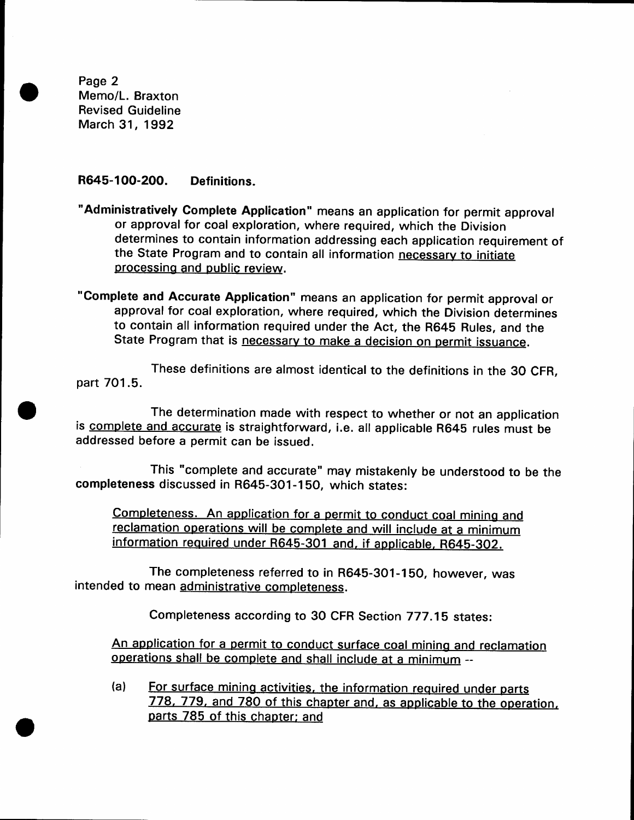Page 2 Memo/L. Braxton Revised Guideline March 31, 1992

#### R645-1OO-20O. Definitions.

"Administratively Gomplete Application" means an application for permit approval or approval for coal exploration, where required, which the Division determines to contain information addressing each application requirement of the State Program and to contain all information necessary to initiate processing and public review.

"Complete and Accurate Application" means an application for permit approval or approval for coal exploration, where required, which the Division determines to contain all information required under the Act, the R645 Rules, and the State Program that is necessary to make a decision on permit issuance.

These definitions are almost identical to the definitions in the 30 CFR, part 7O1.5.

The determination made with respect to whether or not an application is complete and accurate is straightforward, i.e. all applicable R645 rules must be addressed before a permit can be issued.

This "complete and accurate" may mistakenly be understood to be the completeness discussed in R645-301-150, which states:

Completeness. An application for a permit to conduct coal mining and reclamation operations will be complete and will include at a minimum information required under R645-301 and, if applicable, R645-302.

The completeness referred to in R645-301-150, however, was intended to mean administrative completeness.

Completeness according to 30 cFR Section 777.1b states:

An application for a permit to conduct surface coal mining and reclamation operations shall be complete and shall include at a minimum --

 $(a)$ For surface mining activities, the information required under parts 778, 779, and 780 of this chapter and, as applicable to the operation, parts 785 of this chapter; and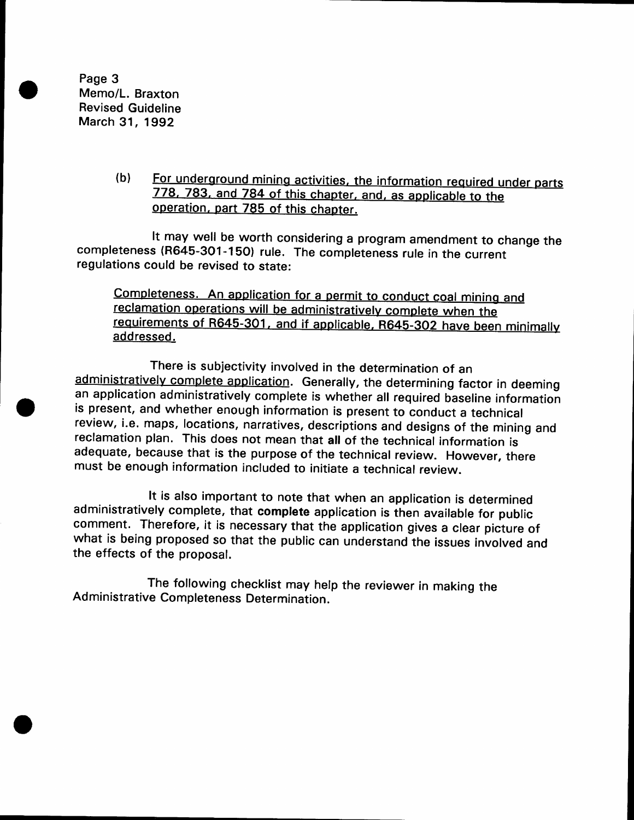Page 3 Memo/L. Braxton Revised Guideline March 31, 1992

> (blFor underground mining activities, the information required under parts 778, 783, and 784 of this chapter, and, as applicable to the operation, part 785 of this chapter.

It may well be worth considering a program amendment to change the completeness (R645-3O1-150) rule. The completeness rule in the current regulations could be revised to state:

Completeness. An application for a permit to conduct coal mining and reclamation operations will be administratively complete when the requirements of R645-301, and if applicable, R645-302 have been minimally addressed.

There is subjectivity involved in the determination of an administratively complete application. Generally, the determining factor in deeming an application administratively complete is whether all required baseline information is present, and whether enough information is present to conduct a technical review, i.e. maps, locations, narratives, descriptions and designs of the mining and reclamation plan. This does not mean that all of the technical information is adequate, because that is the purpose of the technical review. However, there must be enough information included to initiate a technical review.

It is also important to note that when an application is determined administratively complete, that complete application is then available for public comment. Therefore, it is necessary that the application gives a clear picture of what is being proposed so that the public can understand the issues involved and the effects of the proposal.

The following checklist may help the reviewer in making the Administrative Completeness Determination.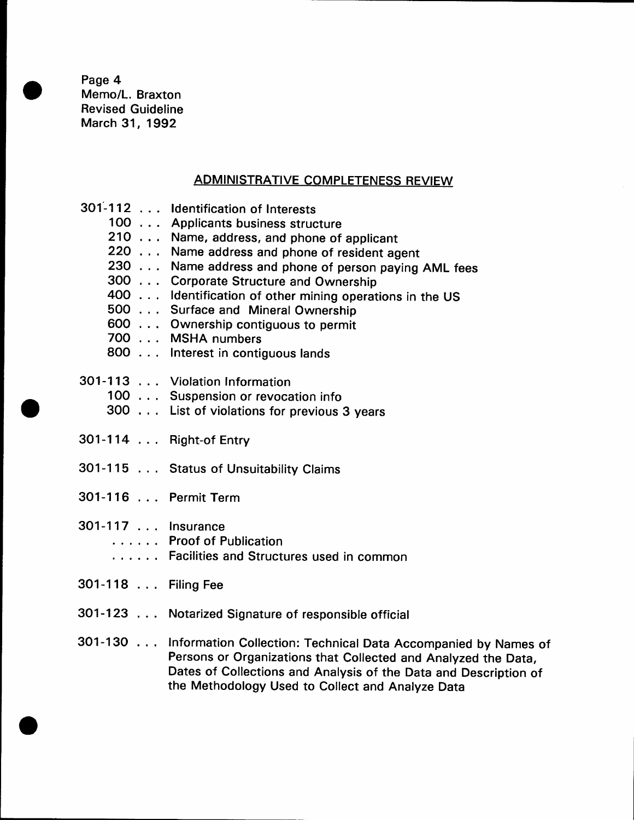Page 4 Memo/L. Braxton Revised Guideline March 31, 1992

# ADMINISTRATIVE COMPLETENESS REVIEW

|                     | 301-112 Identification of Interests                                                                                                                                                                                                                              |
|---------------------|------------------------------------------------------------------------------------------------------------------------------------------------------------------------------------------------------------------------------------------------------------------|
|                     | 100 Applicants business structure                                                                                                                                                                                                                                |
|                     | 210 Name, address, and phone of applicant                                                                                                                                                                                                                        |
|                     | 220 Name address and phone of resident agent                                                                                                                                                                                                                     |
|                     | 230 Name address and phone of person paying AML fees                                                                                                                                                                                                             |
|                     | 300 Corporate Structure and Ownership                                                                                                                                                                                                                            |
|                     | 400 Identification of other mining operations in the US                                                                                                                                                                                                          |
|                     | 500 Surface and Mineral Ownership                                                                                                                                                                                                                                |
|                     | 600 Ownership contiguous to permit                                                                                                                                                                                                                               |
|                     | 700 MSHA numbers                                                                                                                                                                                                                                                 |
|                     | 800 Interest in contiguous lands                                                                                                                                                                                                                                 |
|                     | 301-113 Violation Information                                                                                                                                                                                                                                    |
|                     | 100 Suspension or revocation info                                                                                                                                                                                                                                |
|                     | 300 List of violations for previous 3 years                                                                                                                                                                                                                      |
|                     | 301-114 Right-of Entry                                                                                                                                                                                                                                           |
|                     | 301-115 Status of Unsuitability Claims                                                                                                                                                                                                                           |
| 301-116 Permit Term |                                                                                                                                                                                                                                                                  |
| 301-117 Insurance   |                                                                                                                                                                                                                                                                  |
|                     | Proof of Publication                                                                                                                                                                                                                                             |
|                     | Facilities and Structures used in common                                                                                                                                                                                                                         |
| 301-118 Filing Fee  |                                                                                                                                                                                                                                                                  |
|                     | 301-123 Notarized Signature of responsible official                                                                                                                                                                                                              |
|                     | 301-130 Information Collection: Technical Data Accompanied by Names of<br>Persons or Organizations that Collected and Analyzed the Data,<br>Dates of Collections and Analysis of the Data and Description of<br>the Methodology Used to Collect and Analyze Data |
|                     |                                                                                                                                                                                                                                                                  |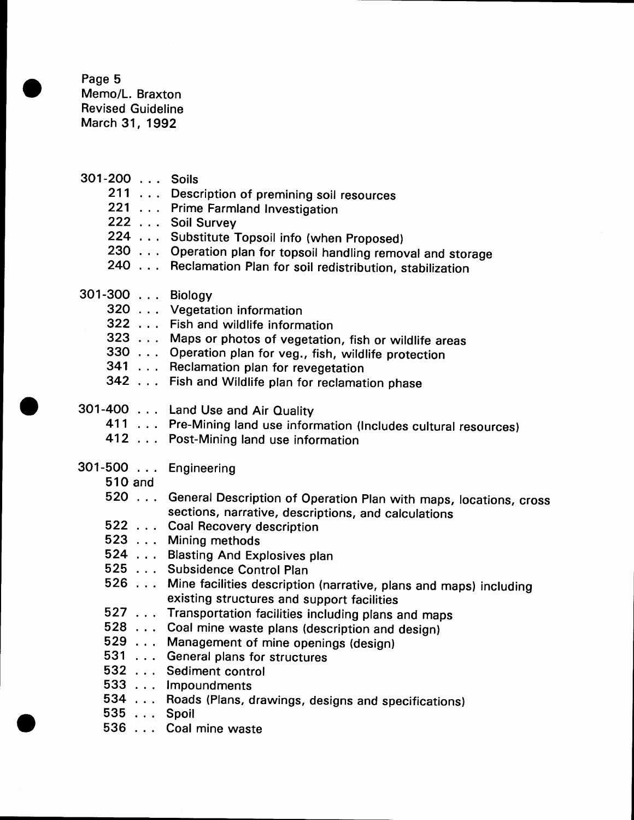Page 5 Memo/L. Braxton Revised Guideline March 31, 1992

| 301-200 Soils       |                                                                                                                              |
|---------------------|------------------------------------------------------------------------------------------------------------------------------|
|                     | 211 Description of premining soil resources                                                                                  |
|                     | 221 Prime Farmland Investigation                                                                                             |
|                     | 222 Soil Survey                                                                                                              |
|                     | 224 Substitute Topsoil info (when Proposed)                                                                                  |
|                     | 230 Operation plan for topsoil handling removal and storage                                                                  |
|                     | 240 Reclamation Plan for soil redistribution, stabilization                                                                  |
| 301-300 Biology     |                                                                                                                              |
|                     | 320 Vegetation information                                                                                                   |
|                     | 322 Fish and wildlife information                                                                                            |
|                     | 323 Maps or photos of vegetation, fish or wildlife areas                                                                     |
|                     | 330 Operation plan for veg., fish, wildlife protection                                                                       |
|                     | 341 Reclamation plan for revegetation                                                                                        |
|                     | 342 Fish and Wildlife plan for reclamation phase                                                                             |
|                     | 301-400 Land Use and Air Quality                                                                                             |
|                     | 411 Pre-Mining land use information (Includes cultural resources)                                                            |
|                     | 412 Post-Mining land use information                                                                                         |
| 301-500 Engineering |                                                                                                                              |
| 510 and             |                                                                                                                              |
|                     | 520 General Description of Operation Plan with maps, locations, cross<br>sections, narrative, descriptions, and calculations |
|                     | 522 Coal Recovery description                                                                                                |
|                     | 523 Mining methods                                                                                                           |
|                     | 524 Blasting And Explosives plan                                                                                             |
|                     | 525 Subsidence Control Plan                                                                                                  |
|                     | 526 Mine facilities description (narrative, plans and maps) including<br>existing structures and support facilities          |
|                     | 527 Transportation facilities including plans and maps                                                                       |
|                     | 528 Coal mine waste plans (description and design)                                                                           |
|                     | 529 Management of mine openings (design)                                                                                     |
|                     | 531 General plans for structures                                                                                             |
|                     | 532 Sediment control                                                                                                         |
|                     | 533 Impoundments                                                                                                             |
|                     | 534 Roads (Plans, drawings, designs and specifications)                                                                      |
| 535  Spoil          |                                                                                                                              |
|                     | 536 Coal mine waste                                                                                                          |
|                     |                                                                                                                              |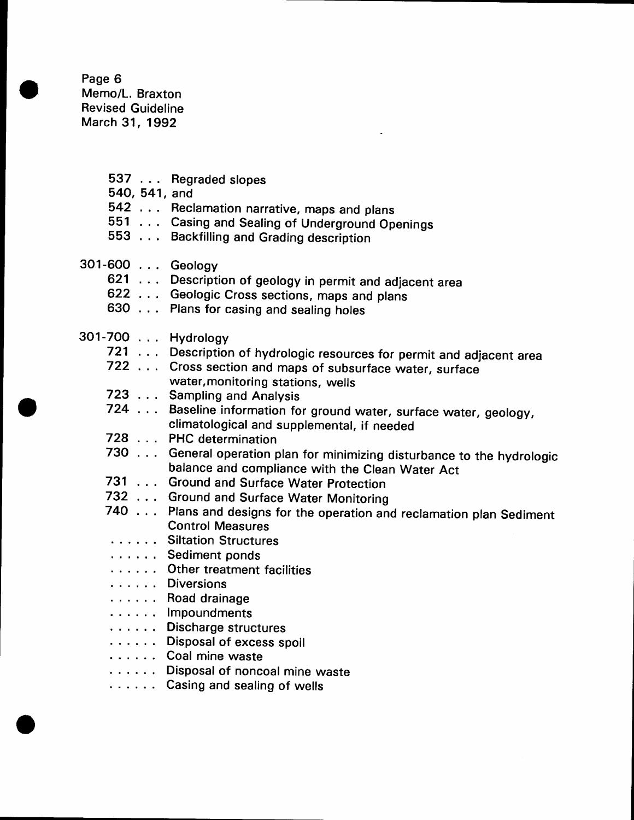Page 6 Memo/L. Braxton Revised Guideline March 31, 1992

537 . Regraded slopes 540, 541 , and 542 . . . Reclamation narrative, maps and plans **EXECT FREE CONTROLLER IN ADAPTATION**<br>551 ... Casing and Sealing of Underground Openings **553** . . . Backfilling and Grading description 301-600 . , . Geology 621 . Description of geology in permit and adjacent area Example 2006 plants of goodgy in permit and adjected... ed the college of coordinal maps and sealing holes 301-700 . Hydrology 721 . . . Description of hydrologic resources for permit and adjacent area The contract of the subsets of subsurface water, surface<br>722 ... Cross section and maps of subsurface water, surface 723 , . Sampling and Analysis 724 Baseline information for ground water, surface water, geology, 728 . , PHC determination 730 . . . General operation plan for minimizing disturbance to the hydrologic 731 . . . Ground and Surface Water Protection 732 . Ground and Surface Water Monitoring 740 . . . Plans and designs for the operation and reclamation plan Sediment ...... Siltation Structures .... Sediment ponds ...... Other treatment facilities .... Road drainage .... Impoundments ...... Discharge structures ...... Coal mine waste water,monitoring stations, wells climatological and supplemental, if needed balance and compliance with the clean water Act Control Measures ...... Diversions ...... Disposal of excess spoil ...... Disposal of noncoal mine waste ...... Casing and sealing of wells